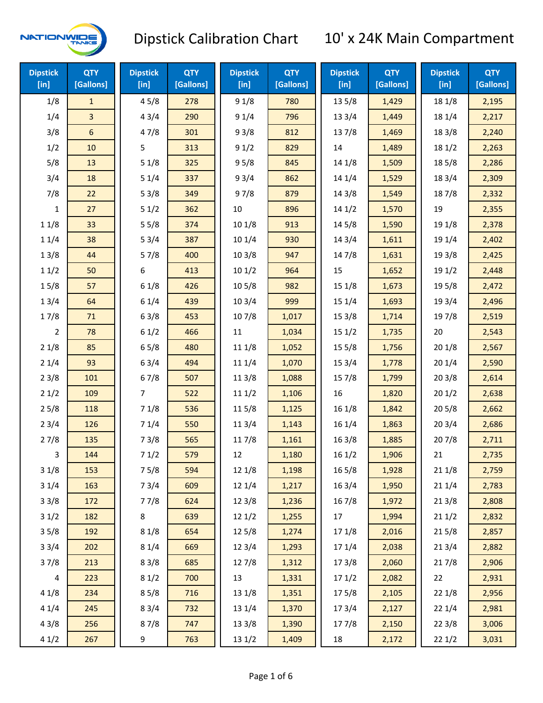

| <b>Dipstick</b><br>[in] | <b>QTY</b><br>[Gallons] | <b>Dipstick</b><br>[in] | <b>QTY</b><br>[Gallons] | <b>Dipstick</b><br>[in] | <b>QTY</b><br>[Gallons] | <b>Dipstick</b><br>[in] | <b>QTY</b><br>[Gallons] | <b>Dipstick</b><br>$[$ in] | <b>QTY</b><br>[Gallons] |
|-------------------------|-------------------------|-------------------------|-------------------------|-------------------------|-------------------------|-------------------------|-------------------------|----------------------------|-------------------------|
| 1/8                     | $\mathbf{1}$            | 45/8                    | 278                     | 91/8                    | 780                     | 135/8                   | 1,429                   | 18 1/8                     | 2,195                   |
| 1/4                     | 3                       | 43/4                    | 290                     | 91/4                    | 796                     | 13 3/4                  | 1,449                   | 18 1/4                     | 2,217                   |
| 3/8                     | 6                       | 47/8                    | 301                     | 93/8                    | 812                     | 137/8                   | 1,469                   | 18 3/8                     | 2,240                   |
| 1/2                     | 10                      | 5                       | 313                     | 91/2                    | 829                     | 14                      | 1,489                   | 18 1/2                     | 2,263                   |
| 5/8                     | 13                      | 51/8                    | 325                     | 95/8                    | 845                     | 14 1/8                  | 1,509                   | 185/8                      | 2,286                   |
| 3/4                     | 18                      | 51/4                    | 337                     | 93/4                    | 862                     | 14 1/4                  | 1,529                   | 18 3/4                     | 2,309                   |
| 7/8                     | 22                      | 53/8                    | 349                     | 97/8                    | 879                     | 14 3/8                  | 1,549                   | 187/8                      | 2,332                   |
| 1                       | 27                      | 51/2                    | 362                     | 10                      | 896                     | 141/2                   | 1,570                   | 19                         | 2,355                   |
| 11/8                    | 33                      | 55/8                    | 374                     | 101/8                   | 913                     | 14 5/8                  | 1,590                   | 19 1/8                     | 2,378                   |
| 11/4                    | 38                      | 53/4                    | 387                     | 101/4                   | 930                     | 14 3/4                  | 1,611                   | 19 1/4                     | 2,402                   |
| 13/8                    | 44                      | 57/8                    | 400                     | 103/8                   | 947                     | 147/8                   | 1,631                   | 19 3/8                     | 2,425                   |
| 11/2                    | 50                      | 6                       | 413                     | 101/2                   | 964                     | 15                      | 1,652                   | 19 1/2                     | 2,448                   |
| 15/8                    | 57                      | 61/8                    | 426                     | 10 <sub>5</sub> /8      | 982                     | 151/8                   | 1,673                   | 19 5/8                     | 2,472                   |
| 13/4                    | 64                      | 61/4                    | 439                     | 103/4                   | 999                     | 151/4                   | 1,693                   | 19 3/4                     | 2,496                   |
| 17/8                    | 71                      | 63/8                    | 453                     | 107/8                   | 1,017                   | 15 3/8                  | 1,714                   | 197/8                      | 2,519                   |
| 2                       | 78                      | 61/2                    | 466                     | 11                      | 1,034                   | 151/2                   | 1,735                   | 20                         | 2,543                   |
| 21/8                    | 85                      | 65/8                    | 480                     | 11 1/8                  | 1,052                   | 15 5/8                  | 1,756                   | 201/8                      | 2,567                   |
| 21/4                    | 93                      | 63/4                    | 494                     | 11 1/4                  | 1,070                   | 153/4                   | 1,778                   | 201/4                      | 2,590                   |
| 23/8                    | 101                     | 67/8                    | 507                     | 11 3/8                  | 1,088                   | 157/8                   | 1,799                   | 203/8                      | 2,614                   |
| 21/2                    | 109                     | 7                       | 522                     | 111/2                   | 1,106                   | 16                      | 1,820                   | 201/2                      | 2,638                   |
| 25/8                    | 118                     | 71/8                    | 536                     | 11 5/8                  | 1,125                   | 16 1/8                  | 1,842                   | 205/8                      | 2,662                   |
| 23/4                    | 126                     | 71/4                    | 550                     | 113/4                   | 1,143                   | 161/4                   | 1,863                   | 203/4                      | 2,686                   |
| 27/8                    | 135                     | 73/8                    | 565                     | 117/8                   | 1,161                   | 163/8                   | 1,885                   | 207/8                      | 2,711                   |
| 3                       | 144                     | 71/2                    | 579                     | 12                      | 1,180                   | 161/2                   | 1,906                   | 21                         | 2,735                   |
| 31/8                    | 153                     | 75/8                    | 594                     | 12 1/8                  | 1,198                   | 16 5/8                  | 1,928                   | 211/8                      | 2,759                   |
| 31/4                    | 163                     | 73/4                    | 609                     | 12 1/4                  | 1,217                   | 16 3/4                  | 1,950                   | 211/4                      | 2,783                   |
| 33/8                    | 172                     | 77/8                    | 624                     | 12 3/8                  | 1,236                   | 16 7/8                  | 1,972                   | 213/8                      | 2,808                   |
| 31/2                    | 182                     | 8                       | 639                     | 12 1/2                  | 1,255                   | 17                      | 1,994                   | 211/2                      | 2,832                   |
| 35/8                    | 192                     | 81/8                    | 654                     | 125/8                   | 1,274                   | 17 1/8                  | 2,016                   | 215/8                      | 2,857                   |
| 33/4                    | 202                     | 81/4                    | 669                     | 123/4                   | 1,293                   | 17 1/4                  | 2,038                   | 213/4                      | 2,882                   |
| 37/8                    | 213                     | 83/8                    | 685                     | 127/8                   | 1,312                   | 173/8                   | 2,060                   | 217/8                      | 2,906                   |
| $\overline{\mathbf{4}}$ | 223                     | 81/2                    | 700                     | 13                      | 1,331                   | 171/2                   | 2,082                   | 22                         | 2,931                   |
| 41/8                    | 234                     | 85/8                    | 716                     | 13 1/8                  | 1,351                   | 175/8                   | 2,105                   | 22 1/8                     | 2,956                   |
| 41/4                    | 245                     | 83/4                    | 732                     | 13 1/4                  | 1,370                   | 17 3/4                  | 2,127                   | 221/4                      | 2,981                   |
| 43/8                    | 256                     | 87/8                    | 747                     | 13 3/8                  | 1,390                   | 177/8                   | 2,150                   | 223/8                      | 3,006                   |
| 41/2                    | 267                     | 9                       | 763                     | 13 1/2                  | 1,409                   | 18                      | 2,172                   | 221/2                      | 3,031                   |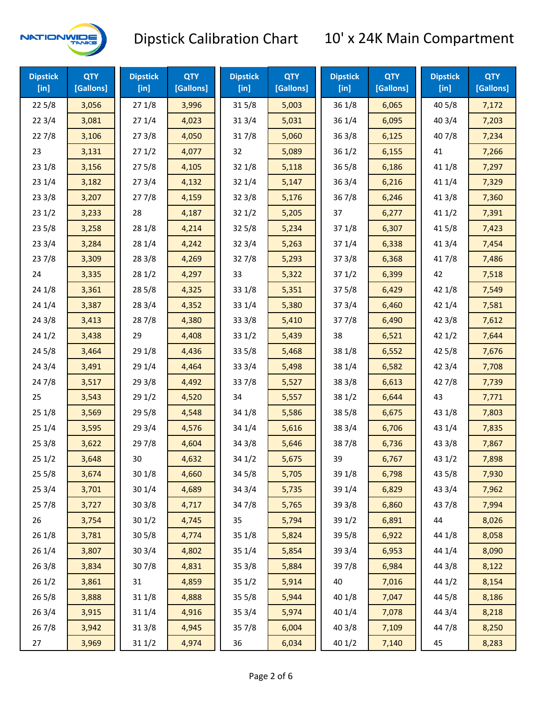

| <b>Dipstick</b><br>$[$ in] | <b>QTY</b><br>[Gallons] | <b>Dipstick</b><br>$[$ in] | <b>QTY</b><br>[Gallons] | <b>Dipstick</b><br>$[$ in] | <b>QTY</b><br>[Gallons] | <b>Dipstick</b><br>$[$ in] | <b>QTY</b><br>[Gallons] | <b>Dipstick</b><br>$[$ in] | <b>QTY</b><br>[Gallons] |
|----------------------------|-------------------------|----------------------------|-------------------------|----------------------------|-------------------------|----------------------------|-------------------------|----------------------------|-------------------------|
| 225/8                      | 3,056                   | 271/8                      | 3,996                   | 315/8                      | 5,003                   | 36 1/8                     | 6,065                   | 40 5/8                     | 7,172                   |
| 223/4                      | 3,081                   | 271/4                      | 4,023                   | 31 3/4                     | 5,031                   | 36 1/4                     | 6,095                   | 40 3/4                     | 7,203                   |
| 227/8                      | 3,106                   | 273/8                      | 4,050                   | 317/8                      | 5,060                   | 363/8                      | 6,125                   | 407/8                      | 7,234                   |
| 23                         | 3,131                   | 271/2                      | 4,077                   | 32                         | 5,089                   | 361/2                      | 6,155                   | 41                         | 7,266                   |
| 231/8                      | 3,156                   | 275/8                      | 4,105                   | 321/8                      | 5,118                   | 365/8                      | 6,186                   | 41 1/8                     | 7,297                   |
| 231/4                      | 3,182                   | 273/4                      | 4,132                   | 32 1/4                     | 5,147                   | 363/4                      | 6,216                   | 41 1/4                     | 7,329                   |
| 233/8                      | 3,207                   | 277/8                      | 4,159                   | 323/8                      | 5,176                   | 367/8                      | 6,246                   | 41 3/8                     | 7,360                   |
| 231/2                      | 3,233                   | 28                         | 4,187                   | 321/2                      | 5,205                   | 37                         | 6,277                   | 411/2                      | 7,391                   |
| 235/8                      | 3,258                   | 28 1/8                     | 4,214                   | 325/8                      | 5,234                   | 37 1/8                     | 6,307                   | 41 5/8                     | 7,423                   |
| 233/4                      | 3,284                   | 28 1/4                     | 4,242                   | 32 3/4                     | 5,263                   | 37 1/4                     | 6,338                   | 41 3/4                     | 7,454                   |
| 237/8                      | 3,309                   | 28 3/8                     | 4,269                   | 327/8                      | 5,293                   | 37 3/8                     | 6,368                   | 417/8                      | 7,486                   |
| 24                         | 3,335                   | 281/2                      | 4,297                   | 33                         | 5,322                   | 371/2                      | 6,399                   | 42                         | 7,518                   |
| 24 1/8                     | 3,361                   | 285/8                      | 4,325                   | 33 1/8                     | 5,351                   | 375/8                      | 6,429                   | 42 1/8                     | 7,549                   |
| 241/4                      | 3,387                   | 283/4                      | 4,352                   | 33 1/4                     | 5,380                   | 373/4                      | 6,460                   | 42 1/4                     | 7,581                   |
| 243/8                      | 3,413                   | 287/8                      | 4,380                   | 33 3/8                     | 5,410                   | 377/8                      | 6,490                   | 42 3/8                     | 7,612                   |
| 241/2                      | 3,438                   | 29                         | 4,408                   | 331/2                      | 5,439                   | 38                         | 6,521                   | 421/2                      | 7,644                   |
| 245/8                      | 3,464                   | 29 1/8                     | 4,436                   | 33 5/8                     | 5,468                   | 38 1/8                     | 6,552                   | 42 5/8                     | 7,676                   |
| 243/4                      | 3,491                   | 29 1/4                     | 4,464                   | 33 3/4                     | 5,498                   | 38 1/4                     | 6,582                   | 42 3/4                     | 7,708                   |
| 24 7/8                     | 3,517                   | 29 3/8                     | 4,492                   | 337/8                      | 5,527                   | 38 3/8                     | 6,613                   | 42 7/8                     | 7,739                   |
| 25                         | 3,543                   | 29 1/2                     | 4,520                   | 34                         | 5,557                   | 38 1/2                     | 6,644                   | 43                         | 7,771                   |
| 251/8                      | 3,569                   | 29 5/8                     | 4,548                   | 34 1/8                     | 5,586                   | 38 5/8                     | 6,675                   | 43 1/8                     | 7,803                   |
| 251/4                      | 3,595                   | 29 3/4                     | 4,576                   | 34 1/4                     | 5,616                   | 38 3/4                     | 6,706                   | 43 1/4                     | 7,835                   |
| 253/8                      | 3,622                   | 297/8                      | 4,604                   | 34 3/8                     | 5,646                   | 387/8                      | 6,736                   | 43 3/8                     | 7,867                   |
| 251/2                      | 3,648                   | 30                         | 4,632                   | 34 1/2                     | 5,675                   | 39                         | 6,767                   | 43 1/2                     | 7,898                   |
| 255/8                      | 3,674                   | 301/8                      | 4,660                   | 34 5/8                     | 5,705                   | 39 1/8                     | 6,798                   | 43 5/8                     | 7,930                   |
| 253/4                      | 3,701                   | 30 1/4                     | 4,689                   | 34 3/4                     | 5,735                   | 39 1/4                     | 6,829                   | 43 3/4                     | 7,962                   |
| 257/8                      | 3,727                   | 30 3/8                     | 4,717                   | 347/8                      | 5,765                   | 39 3/8                     | 6,860                   | 437/8                      | 7,994                   |
| 26                         | 3,754                   | 301/2                      | 4,745                   | 35                         | 5,794                   | 39 1/2                     | 6,891                   | 44                         | 8,026                   |
| 26 1/8                     | 3,781                   | $30\,5/8$                  | 4,774                   | 35 1/8                     | 5,824                   | 39 5/8                     | 6,922                   | 44 1/8                     | 8,058                   |
| 261/4                      | 3,807                   | 30 3/4                     | 4,802                   | 35 1/4                     | 5,854                   | 39 3/4                     | 6,953                   | 44 1/4                     | 8,090                   |
| 26 3/8                     | 3,834                   | 307/8                      | 4,831                   | 35 3/8                     | 5,884                   | 397/8                      | 6,984                   | 44 3/8                     | 8,122                   |
| 261/2                      | 3,861                   | 31                         | 4,859                   | 351/2                      | 5,914                   | 40                         | 7,016                   | 44 1/2                     | 8,154                   |
| 265/8                      | 3,888                   | 31 1/8                     | 4,888                   | 35 5/8                     | 5,944                   | 40 1/8                     | 7,047                   | 44 5/8                     | 8,186                   |
| 263/4                      | 3,915                   | 31 1/4                     | 4,916                   | 35 3/4                     | 5,974                   | 40 1/4                     | 7,078                   | 44 3/4                     | 8,218                   |
| 267/8                      | 3,942                   | 31 3/8                     | 4,945                   | 35 7/8                     | 6,004                   | 40 3/8                     | 7,109                   | 44 7/8                     | 8,250                   |
| 27                         | 3,969                   | 31 1/2                     | 4,974                   | 36                         | 6,034                   | 40 1/2                     | 7,140                   | 45                         | 8,283                   |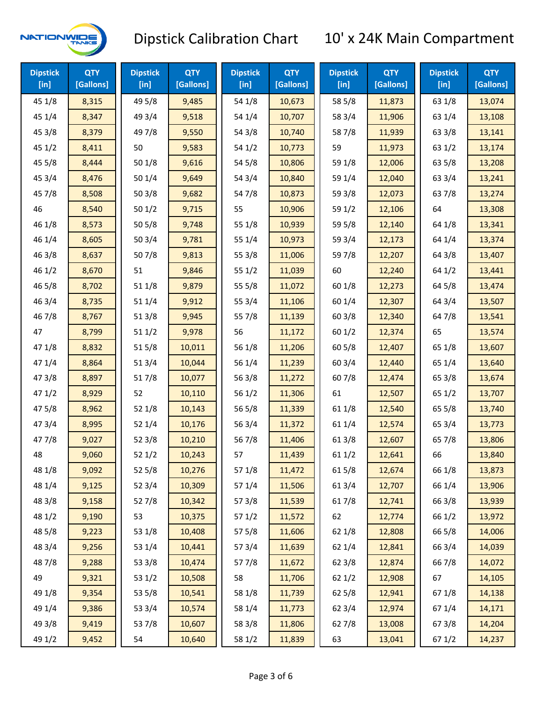

| <b>Dipstick</b><br>$[$ in] | <b>QTY</b><br>[Gallons] | <b>Dipstick</b><br>$[$ in] | <b>QTY</b><br>[Gallons] | <b>Dipstick</b><br>$[$ in] | <b>QTY</b><br>[Gallons] | <b>Dipstick</b><br>$[$ in] | <b>QTY</b><br>[Gallons] | <b>Dipstick</b><br>$[$ in] | <b>QTY</b><br>[Gallons] |
|----------------------------|-------------------------|----------------------------|-------------------------|----------------------------|-------------------------|----------------------------|-------------------------|----------------------------|-------------------------|
| 45 1/8                     | 8,315                   | 49 5/8                     | 9,485                   | 54 1/8                     | 10,673                  | 58 5/8                     | 11,873                  | 63 1/8                     | 13,074                  |
| 45 1/4                     | 8,347                   | 49 3/4                     | 9,518                   | 54 1/4                     | 10,707                  | 58 3/4                     | 11,906                  | 63 1/4                     | 13,108                  |
| 45 3/8                     | 8,379                   | 49 7/8                     | 9,550                   | 54 3/8                     | 10,740                  | 587/8                      | 11,939                  | 63 3/8                     | 13,141                  |
| 451/2                      | 8,411                   | 50                         | 9,583                   | 54 1/2                     | 10,773                  | 59                         | 11,973                  | 63 1/2                     | 13,174                  |
| 45 5/8                     | 8,444                   | 50 1/8                     | 9,616                   | 54 5/8                     | 10,806                  | 59 1/8                     | 12,006                  | 63 5/8                     | 13,208                  |
| 45 3/4                     | 8,476                   | 50 1/4                     | 9,649                   | 54 3/4                     | 10,840                  | 59 1/4                     | 12,040                  | 63 3/4                     | 13,241                  |
| 45 7/8                     | 8,508                   | 50 3/8                     | 9,682                   | 54 7/8                     | 10,873                  | 59 3/8                     | 12,073                  | 637/8                      | 13,274                  |
| 46                         | 8,540                   | 501/2                      | 9,715                   | 55                         | 10,906                  | 59 1/2                     | 12,106                  | 64                         | 13,308                  |
| 46 1/8                     | 8,573                   | 50 5/8                     | 9,748                   | 55 1/8                     | 10,939                  | 59 5/8                     | 12,140                  | 64 1/8                     | 13,341                  |
| 46 1/4                     | 8,605                   | 50 3/4                     | 9,781                   | 55 1/4                     | 10,973                  | 59 3/4                     | 12,173                  | 64 1/4                     | 13,374                  |
| 463/8                      | 8,637                   | 507/8                      | 9,813                   | 55 3/8                     | 11,006                  | 597/8                      | 12,207                  | 64 3/8                     | 13,407                  |
| 46 1/2                     | 8,670                   | 51                         | 9,846                   | 55 1/2                     | 11,039                  | 60                         | 12,240                  | 64 1/2                     | 13,441                  |
| 46 5/8                     | 8,702                   | 51 1/8                     | 9,879                   | 55 5/8                     | 11,072                  | 60 1/8                     | 12,273                  | 64 5/8                     | 13,474                  |
| 46 3/4                     | 8,735                   | 51 1/4                     | 9,912                   | 55 3/4                     | 11,106                  | 60 1/4                     | 12,307                  | 64 3/4                     | 13,507                  |
| 46 7/8                     | 8,767                   | 513/8                      | 9,945                   | 55 7/8                     | 11,139                  | 60 3/8                     | 12,340                  | 64 7/8                     | 13,541                  |
| 47                         | 8,799                   | 511/2                      | 9,978                   | 56                         | 11,172                  | 601/2                      | 12,374                  | 65                         | 13,574                  |
| 47 1/8                     | 8,832                   | 515/8                      | 10,011                  | 56 1/8                     | 11,206                  | 60 5/8                     | 12,407                  | 65 1/8                     | 13,607                  |
| 47 1/4                     | 8,864                   | 513/4                      | 10,044                  | 56 1/4                     | 11,239                  | 60 3/4                     | 12,440                  | 65 1/4                     | 13,640                  |
| 47 3/8                     | 8,897                   | 517/8                      | 10,077                  | 563/8                      | 11,272                  | 607/8                      | 12,474                  | 65 3/8                     | 13,674                  |
| 471/2                      | 8,929                   | 52                         | 10,110                  | 56 1/2                     | 11,306                  | 61                         | 12,507                  | 65 1/2                     | 13,707                  |
| 475/8                      | 8,962                   | 52 1/8                     | 10,143                  | 56 5/8                     | 11,339                  | 61 1/8                     | 12,540                  | 65 5/8                     | 13,740                  |
| 47 3/4                     | 8,995                   | 521/4                      | 10,176                  | 56 3/4                     | 11,372                  | 61 1/4                     | 12,574                  | 65 3/4                     | 13,773                  |
| 47 7/8                     | 9,027                   | 523/8                      | 10,210                  | 567/8                      | 11,406                  | 61 3/8                     | 12,607                  | 657/8                      | 13,806                  |
| 48                         | 9,060                   | 521/2                      | 10,243                  | 57                         | 11,439                  | 611/2                      | 12,641                  | 66                         | 13,840                  |
| 48 1/8                     | 9,092                   | 525/8                      | 10,276                  | 57 1/8                     | 11,472                  | 615/8                      | 12,674                  | 66 1/8                     | 13,873                  |
| 48 1/4                     | 9,125                   | 52 3/4                     | 10,309                  | 57 1/4                     | 11,506                  | 613/4                      | 12,707                  | 66 1/4                     | 13,906                  |
| 48 3/8                     | 9,158                   | 527/8                      | 10,342                  | 57 3/8                     | 11,539                  | 617/8                      | 12,741                  | 66 3/8                     | 13,939                  |
| 48 1/2                     | 9,190                   | 53                         | 10,375                  | 57 1/2                     | 11,572                  | 62                         | 12,774                  | 66 1/2                     | 13,972                  |
| 48 5/8                     | 9,223                   | 53 1/8                     | 10,408                  | 57 5/8                     | 11,606                  | 62 1/8                     | 12,808                  | 66 5/8                     | 14,006                  |
| 48 3/4                     | 9,256                   | 53 1/4                     | 10,441                  | 573/4                      | 11,639                  | 62 1/4                     | 12,841                  | 66 3/4                     | 14,039                  |
| 487/8                      | 9,288                   | 53 3/8                     | 10,474                  | 577/8                      | 11,672                  | 62 3/8                     | 12,874                  | 667/8                      | 14,072                  |
| 49                         | 9,321                   | 53 1/2                     | 10,508                  | 58                         | 11,706                  | 621/2                      | 12,908                  | 67                         | 14,105                  |
| 49 1/8                     | 9,354                   | 53 5/8                     | 10,541                  | 58 1/8                     | 11,739                  | 62 5/8                     | 12,941                  | 671/8                      | 14,138                  |
| 49 1/4                     | 9,386                   | 53 3/4                     | 10,574                  | 58 1/4                     | 11,773                  | 62 3/4                     | 12,974                  | 67 1/4                     | 14,171                  |
| 49 3/8                     | 9,419                   | 537/8                      | 10,607                  | 58 3/8                     | 11,806                  | 627/8                      | 13,008                  | 673/8                      | 14,204                  |
| 49 1/2                     | 9,452                   | 54                         | 10,640                  | 58 1/2                     | 11,839                  | 63                         | 13,041                  | 67 1/2                     | 14,237                  |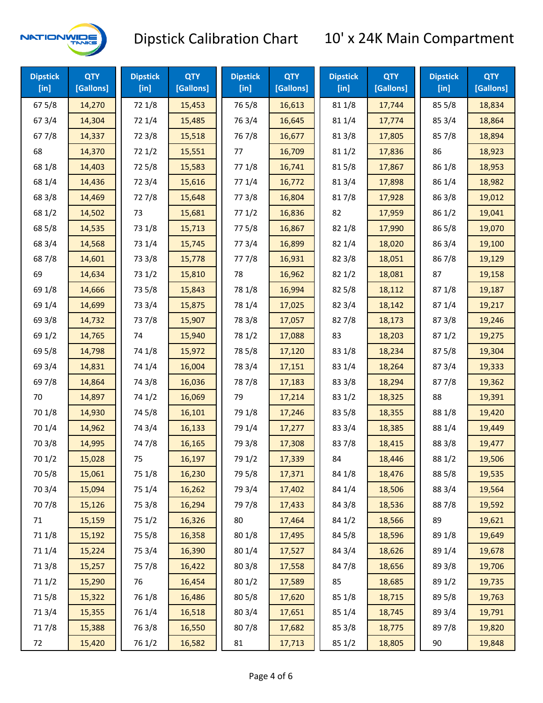

| <b>Dipstick</b><br>$[$ in] | <b>QTY</b><br>[Gallons] | <b>Dipstick</b><br>$[$ in] | <b>QTY</b><br>[Gallons] | <b>Dipstick</b><br>$[$ in] | <b>QTY</b><br>[Gallons] | <b>Dipstick</b><br>[in] | <b>QTY</b><br>[Gallons] | <b>Dipstick</b><br>$[$ in] | <b>QTY</b><br>[Gallons] |
|----------------------------|-------------------------|----------------------------|-------------------------|----------------------------|-------------------------|-------------------------|-------------------------|----------------------------|-------------------------|
| 67 5/8                     | 14,270                  | 72 1/8                     | 15,453                  | 765/8                      | 16,613                  | 81 1/8                  | 17,744                  | 85 5/8                     | 18,834                  |
| 67 3/4                     | 14,304                  | 72 1/4                     | 15,485                  | 763/4                      | 16,645                  | 81 1/4                  | 17,774                  | 85 3/4                     | 18,864                  |
| 677/8                      | 14,337                  | 72 3/8                     | 15,518                  | 767/8                      | 16,677                  | 81 3/8                  | 17,805                  | 85 7/8                     | 18,894                  |
| 68                         | 14,370                  | 721/2                      | 15,551                  | 77                         | 16,709                  | 81 1/2                  | 17,836                  | 86                         | 18,923                  |
| 68 1/8                     | 14,403                  | 72 5/8                     | 15,583                  | 77 1/8                     | 16,741                  | 815/8                   | 17,867                  | 86 1/8                     | 18,953                  |
| 68 1/4                     | 14,436                  | 72 3/4                     | 15,616                  | 77 1/4                     | 16,772                  | 813/4                   | 17,898                  | 86 1/4                     | 18,982                  |
| 68 3/8                     | 14,469                  | 727/8                      | 15,648                  | 77 3/8                     | 16,804                  | 817/8                   | 17,928                  | 86 3/8                     | 19,012                  |
| 68 1/2                     | 14,502                  | 73                         | 15,681                  | 771/2                      | 16,836                  | 82                      | 17,959                  | 86 1/2                     | 19,041                  |
| 68 5/8                     | 14,535                  | 73 1/8                     | 15,713                  | 775/8                      | 16,867                  | 82 1/8                  | 17,990                  | 86 5/8                     | 19,070                  |
| 68 3/4                     | 14,568                  | 73 1/4                     | 15,745                  | 773/4                      | 16,899                  | 82 1/4                  | 18,020                  | 86 3/4                     | 19,100                  |
| 687/8                      | 14,601                  | 73 3/8                     | 15,778                  | 777/8                      | 16,931                  | 82 3/8                  | 18,051                  | 867/8                      | 19,129                  |
| 69                         | 14,634                  | 73 1/2                     | 15,810                  | 78                         | 16,962                  | 821/2                   | 18,081                  | 87                         | 19,158                  |
| 69 1/8                     | 14,666                  | 73 5/8                     | 15,843                  | 78 1/8                     | 16,994                  | 82 5/8                  | 18,112                  | 871/8                      | 19,187                  |
| 69 1/4                     | 14,699                  | 73 3/4                     | 15,875                  | 78 1/4                     | 17,025                  | 82 3/4                  | 18,142                  | 87 1/4                     | 19,217                  |
| 69 3/8                     | 14,732                  | 737/8                      | 15,907                  | 78 3/8                     | 17,057                  | 827/8                   | 18,173                  | 87 3/8                     | 19,246                  |
| 69 1/2                     | 14,765                  | 74                         | 15,940                  | 78 1/2                     | 17,088                  | 83                      | 18,203                  | 871/2                      | 19,275                  |
| 69 5/8                     | 14,798                  | 74 1/8                     | 15,972                  | 78 5/8                     | 17,120                  | 83 1/8                  | 18,234                  | 875/8                      | 19,304                  |
| 69 3/4                     | 14,831                  | 74 1/4                     | 16,004                  | 78 3/4                     | 17,151                  | 83 1/4                  | 18,264                  | 87 3/4                     | 19,333                  |
| 697/8                      | 14,864                  | 74 3/8                     | 16,036                  | 787/8                      | 17,183                  | 83 3/8                  | 18,294                  | 877/8                      | 19,362                  |
| 70                         | 14,897                  | 74 1/2                     | 16,069                  | 79                         | 17,214                  | 83 1/2                  | 18,325                  | 88                         | 19,391                  |
| 70 1/8                     | 14,930                  | 74 5/8                     | 16,101                  | 79 1/8                     | 17,246                  | 83 5/8                  | 18,355                  | 88 1/8                     | 19,420                  |
| 70 1/4                     | 14,962                  | 74 3/4                     | 16,133                  | 79 1/4                     | 17,277                  | 83 3/4                  | 18,385                  | 88 1/4                     | 19,449                  |
| 70 3/8                     | 14,995                  | 747/8                      | 16,165                  | 79 3/8                     | 17,308                  | 837/8                   | 18,415                  | 88 3/8                     | 19,477                  |
| 70 1/2                     | 15,028                  | 75                         | 16,197                  | 79 1/2                     | 17,339                  | 84                      | 18,446                  | 88 1/2                     | 19,506                  |
| 70 5/8                     | 15,061                  | 75 1/8                     | 16,230                  | 79 5/8                     | 17,371                  | 84 1/8                  | 18,476                  | 88 5/8                     | 19,535                  |
| 70 3/4                     | 15,094                  | 75 1/4                     | 16,262                  | 79 3/4                     | 17,402                  | 84 1/4                  | 18,506                  | 88 3/4                     | 19,564                  |
| 70 7/8                     | 15,126                  | 75 3/8                     | 16,294                  | 79 7/8                     | 17,433                  | 84 3/8                  | 18,536                  | 887/8                      | 19,592                  |
| 71                         | 15,159                  | 75 1/2                     | 16,326                  | 80                         | 17,464                  | 84 1/2                  | 18,566                  | 89                         | 19,621                  |
| 71 1/8                     | 15,192                  | 75 5/8                     | 16,358                  | 80 1/8                     | 17,495                  | 84 5/8                  | 18,596                  | 89 1/8                     | 19,649                  |
| 71 1/4                     | 15,224                  | 75 3/4                     | 16,390                  | 80 1/4                     | 17,527                  | 84 3/4                  | 18,626                  | 89 1/4                     | 19,678                  |
| 713/8                      | 15,257                  | 75 7/8                     | 16,422                  | 803/8                      | 17,558                  | 847/8                   | 18,656                  | 89 3/8                     | 19,706                  |
| 71 1/2                     | 15,290                  | 76                         | 16,454                  | 80 1/2                     | 17,589                  | 85                      | 18,685                  | 89 1/2                     | 19,735                  |
| 715/8                      | 15,322                  | 76 1/8                     | 16,486                  | 80 5/8                     | 17,620                  | 85 1/8                  | 18,715                  | 89 5/8                     | 19,763                  |
| 713/4                      | 15,355                  | 76 1/4                     | 16,518                  | 80 3/4                     | 17,651                  | 85 1/4                  | 18,745                  | 89 3/4                     | 19,791                  |
| 717/8                      | 15,388                  | 763/8                      | 16,550                  | 807/8                      | 17,682                  | 85 3/8                  | 18,775                  | 897/8                      | 19,820                  |
| 72                         | 15,420                  | 76 1/2                     | 16,582                  | 81                         | 17,713                  | 85 1/2                  | 18,805                  | 90                         | 19,848                  |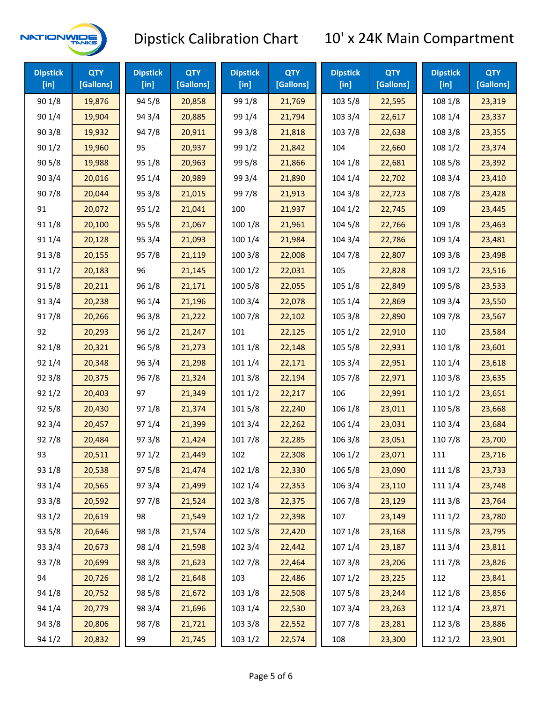

| <b>Dipstick</b><br>[in] | <b>QTY</b><br>[Gallons] | <b>Dipstick</b><br>[in] | <b>QTY</b><br>[Gallons] | <b>Dipstick</b><br>$[$ in] | <b>QTY</b><br>[Gallons] | <b>Dipstick</b><br>$[$ in] | <b>QTY</b><br>[Gallons] | <b>Dipstick</b><br>[in] | <b>QTY</b><br>[Gallons] |
|-------------------------|-------------------------|-------------------------|-------------------------|----------------------------|-------------------------|----------------------------|-------------------------|-------------------------|-------------------------|
| 90 1/8                  | 19,876                  | 94 5/8                  | 20,858                  | 99 1/8                     | 21,769                  | 103 5/8                    | 22,595                  | 108 1/8                 | 23,319                  |
| 90 1/4                  | 19,904                  | 94 3/4                  | 20,885                  | 99 1/4                     | 21,794                  | 103 3/4                    | 22,617                  | 108 1/4                 | 23,337                  |
| 903/8                   | 19,932                  | 947/8                   | 20,911                  | 99 3/8                     | 21,818                  | 103 7/8                    | 22,638                  | 108 3/8                 | 23,355                  |
| 901/2                   | 19,960                  | 95                      | 20,937                  | 99 1/2                     | 21,842                  | 104                        | 22,660                  | 108 1/2                 | 23,374                  |
| 90 5/8                  | 19,988                  | 95 1/8                  | 20,963                  | 99 5/8                     | 21,866                  | 104 1/8                    | 22,681                  | 108 5/8                 | 23,392                  |
| 90 3/4                  | 20,016                  | 95 1/4                  | 20,989                  | 99 3/4                     | 21,890                  | 104 1/4                    | 22,702                  | 108 3/4                 | 23,410                  |
| 907/8                   | 20,044                  | 95 3/8                  | 21,015                  | 997/8                      | 21,913                  | 104 3/8                    | 22,723                  | 108 7/8                 | 23,428                  |
| 91                      | 20,072                  | 95 1/2                  | 21,041                  | 100                        | 21,937                  | 1041/2                     | 22,745                  | 109                     | 23,445                  |
| 91 1/8                  | 20,100                  | 95 5/8                  | 21,067                  | 100 1/8                    | 21,961                  | 104 5/8                    | 22,766                  | 109 1/8                 | 23,463                  |
| 91 1/4                  | 20,128                  | 95 3/4                  | 21,093                  | 100 1/4                    | 21,984                  | 104 3/4                    | 22,786                  | 109 1/4                 | 23,481                  |
| 913/8                   | 20,155                  | 957/8                   | 21,119                  | 100 3/8                    | 22,008                  | 104 7/8                    | 22,807                  | 109 3/8                 | 23,498                  |
| 91 1/2                  | 20,183                  | 96                      | 21,145                  | 1001/2                     | 22,031                  | 105                        | 22,828                  | 109 1/2                 | 23,516                  |
| 915/8                   | 20,211                  | 96 1/8                  | 21,171                  | 100 5/8                    | 22,055                  | 105 1/8                    | 22,849                  | 109 5/8                 | 23,533                  |
| 913/4                   | 20,238                  | 96 1/4                  | 21,196                  | 100 3/4                    | 22,078                  | 105 1/4                    | 22,869                  | 109 3/4                 | 23,550                  |
| 917/8                   | 20,266                  | 963/8                   | 21,222                  | 100 7/8                    | 22,102                  | 105 3/8                    | 22,890                  | 109 7/8                 | 23,567                  |
| 92                      | 20,293                  | 96 1/2                  | 21,247                  | 101                        | 22,125                  | 105 1/2                    | 22,910                  | 110                     | 23,584                  |
| 92 1/8                  | 20,321                  | 965/8                   | 21,273                  | 101 1/8                    | 22,148                  | 105 5/8                    | 22,931                  | 110 1/8                 | 23,601                  |
| 92 1/4                  | 20,348                  | 96 3/4                  | 21,298                  | 101 1/4                    | 22,171                  | 105 3/4                    | 22,951                  | 110 1/4                 | 23,618                  |
| 92 3/8                  | 20,375                  | 967/8                   | 21,324                  | 101 3/8                    | 22,194                  | 105 7/8                    | 22,971                  | 110 3/8                 | 23,635                  |
| 92 1/2                  | 20,403                  | 97                      | 21,349                  | 1011/2                     | 22,217                  | 106                        | 22,991                  | 110 1/2                 | 23,651                  |
| 92 5/8                  | 20,430                  | 97 1/8                  | 21,374                  | 101 5/8                    | 22,240                  | 106 1/8                    | 23,011                  | 110 5/8                 | 23,668                  |
| 92 3/4                  | 20,457                  | 97 1/4                  | 21,399                  | 101 3/4                    | 22,262                  | 106 1/4                    | 23,031                  | 110 3/4                 | 23,684                  |
| 927/8                   | 20,484                  | 973/8                   | 21,424                  | 101 7/8                    | 22,285                  | 106 3/8                    | 23,051                  | 110 7/8                 | 23,700                  |
| 93                      | 20,511                  | 97 1/2                  | 21,449                  | 102                        | 22,308                  | 106 1/2                    | 23,071                  | 111                     | 23,716                  |
| 93 1/8                  | 20,538                  | 975/8                   | 21,474                  | 102 1/8                    | 22,330                  | 106 5/8                    | 23,090                  | 111 1/8                 | 23,733                  |
| 93 1/4                  | 20,565                  | 973/4                   | 21,499                  | 102 1/4                    | 22,353                  | 106 3/4                    | 23,110                  | 111 1/4                 | 23,748                  |
| 93 3/8                  | 20,592                  | 977/8                   | 21,524                  | 102 3/8                    | 22,375                  | 106 7/8                    | 23,129                  | 111 3/8                 | 23,764                  |
| 93 1/2                  | 20,619                  | 98                      | 21,549                  | 1021/2                     | 22,398                  | 107                        | 23,149                  | 111 1/2                 | 23,780                  |
| 93 5/8                  | 20,646                  | 98 1/8                  | 21,574                  | 102 5/8                    | 22,420                  | 107 1/8                    | 23,168                  | 111 5/8                 | 23,795                  |
| 93 3/4                  | 20,673                  | 98 1/4                  | 21,598                  | 102 3/4                    | 22,442                  | 107 1/4                    | 23,187                  | 111 3/4                 | 23,811                  |
| 937/8                   | 20,699                  | 98 3/8                  | 21,623                  | 102 7/8                    | 22,464                  | 107 3/8                    | 23,206                  | 111 7/8                 | 23,826                  |
| 94                      | 20,726                  | 98 1/2                  | 21,648                  | 103                        | 22,486                  | 107 1/2                    | 23,225                  | 112                     | 23,841                  |
| 94 1/8                  | 20,752                  | 98 5/8                  | 21,672                  | 103 1/8                    | 22,508                  | 1075/8                     | 23,244                  | 112 1/8                 | 23,856                  |
| 94 1/4                  | 20,779                  | 98 3/4                  | 21,696                  | 103 1/4                    | 22,530                  | 107 3/4                    | 23,263                  | 112 1/4                 | 23,871                  |
| 94 3/8                  | 20,806                  | 987/8                   | 21,721                  | 103 3/8                    | 22,552                  | 1077/8                     | 23,281                  | 112 3/8                 | 23,886                  |
| 94 1/2                  | 20,832                  | 99                      | 21,745                  | 103 1/2                    | 22,574                  | 108                        | 23,300                  | 112 1/2                 | 23,901                  |